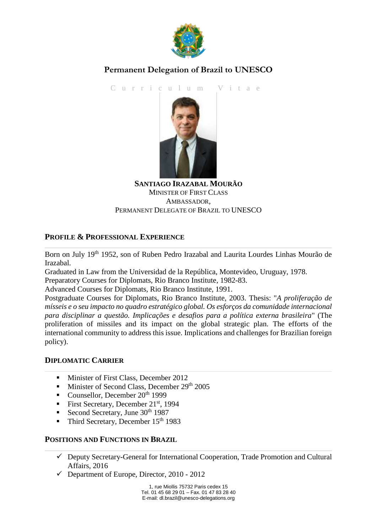

## **Permanent Delegation of Brazil to UNESCO**

C u r r i c u l u m V i t a e



**SANTIAGO IRAZABAL MOURÃO** MINISTER OF FIRST CLASS AMBASSADOR, PERMANENT DELEGATE OF BRAZIL TO UNESCO

#### **PROFILE & PROFESSIONAL EXPERIENCE**

Born on July 19<sup>th</sup> 1952, son of Ruben Pedro Irazabal and Laurita Lourdes Linhas Mourão de Irazabal.

Graduated in Law from the Universidad de la República, Montevideo, Uruguay, 1978.

Preparatory Courses for Diplomats, Rio Branco Institute, 1982-83.

Advanced Courses for Diplomats, Rio Branco Institute, 1991.

Postgraduate Courses for Diplomats, Rio Branco Institute, 2003. Thesis: "*A proliferação de mísseis e o seu impacto no quadro estratégico global. Os esforços da comunidade internacional para disciplinar a questão. Implicações e desafios para a política externa brasileira*" (The proliferation of missiles and its impact on the global strategic plan. The efforts of the international community to address this issue. Implications and challenges for Brazilian foreign policy).

#### **DIPLOMATIC CARRIER**

- **Minister of First Class, December 2012**
- Minister of Second Class, December 29th 2005
- Counsellor, December  $20^{th}$  1999
- First Secretary, December 21<sup>st</sup>, 1994
- Second Secretary, June  $30<sup>th</sup> 1987$
- Third Secretary, December 15<sup>th</sup> 1983

#### **POSITIONS AND FUNCTIONS IN BRAZIL**

- $\checkmark$  Deputy Secretary-General for International Cooperation, Trade Promotion and Cultural Affairs, 2016
- $\checkmark$  Department of Europe, Director, 2010 2012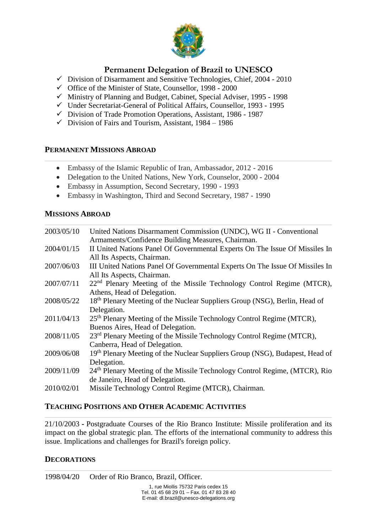

### **Permanent Delegation of Brazil to UNESCO**

- $\checkmark$  Division of Disarmament and Sensitive Technologies, Chief, 2004 2010
- $\checkmark$  Office of the Minister of State, Counsellor, 1998 2000
- $\checkmark$  Ministry of Planning and Budget, Cabinet, Special Adviser, 1995 1998
- Under Secretariat-General of Political Affairs, Counsellor, 1993 1995
- Division of Trade Promotion Operations, Assistant, 1986 1987
- $\checkmark$  Division of Fairs and Tourism, Assistant, 1984 1986

#### **PERMANENT MISSIONS ABROAD**

- Embassy of the Islamic Republic of Iran, Ambassador, 2012 2016
- Delegation to the United Nations, New York, Counselor, 2000 2004
- Embassy in Assumption, Second Secretary, 1990 1993
- Embassy in Washington, Third and Second Secretary, 1987 1990

#### **MISSIONS ABROAD**

| 2003/05/10 | United Nations Disarmament Commission (UNDC), WG II - Conventional<br>Armaments/Confidence Building Measures, Chairman. |
|------------|-------------------------------------------------------------------------------------------------------------------------|
| 2004/01/15 | II United Nations Panel Of Governmental Experts On The Issue Of Missiles In                                             |
|            | All Its Aspects, Chairman.                                                                                              |
| 2007/06/03 | III United Nations Panel Of Governmental Experts On The Issue Of Missiles In                                            |
|            | All Its Aspects, Chairman.                                                                                              |
| 2007/07/11 | 22 <sup>nd</sup> Plenary Meeting of the Missile Technology Control Regime (MTCR),                                       |
|            | Athens, Head of Delegation.                                                                                             |
| 2008/05/22 | 18 <sup>th</sup> Plenary Meeting of the Nuclear Suppliers Group (NSG), Berlin, Head of                                  |
|            | Delegation.                                                                                                             |
| 2011/04/13 | 25 <sup>th</sup> Plenary Meeting of the Missile Technology Control Regime (MTCR),                                       |
|            | Buenos Aires, Head of Delegation.                                                                                       |
| 2008/11/05 | 23 <sup>rd</sup> Plenary Meeting of the Missile Technology Control Regime (MTCR),                                       |
|            | Canberra, Head of Delegation.                                                                                           |
| 2009/06/08 | 19 <sup>th</sup> Plenary Meeting of the Nuclear Suppliers Group (NSG), Budapest, Head of                                |
|            | Delegation.                                                                                                             |
| 2009/11/09 | $24th$ Plenary Meeting of the Missile Technology Control Regime, (MTCR), Rio                                            |
|            | de Janeiro, Head of Delegation.                                                                                         |
| 2010/02/01 | Missile Technology Control Regime (MTCR), Chairman.                                                                     |

#### **TEACHING POSITIONS AND OTHER ACADEMIC ACTIVITIES**

21/10/2003 **-** Postgraduate Courses of the Rio Branco Institute: Missile proliferation and its impact on the global strategic plan. The efforts of the international community to address this issue. Implications and challenges for Brazil's foreign policy.

#### **DECORATIONS**

1998/04/20 Order of Rio Branco, Brazil, Officer.